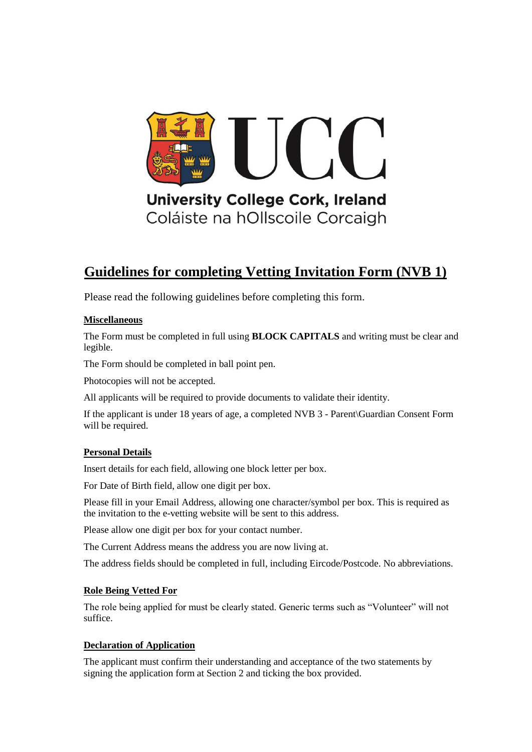

## **Guidelines for completing Vetting Invitation Form (NVB 1)**

Please read the following guidelines before completing this form.

#### **Miscellaneous**

The Form must be completed in full using **BLOCK CAPITALS** and writing must be clear and legible.

The Form should be completed in ball point pen.

Photocopies will not be accepted.

All applicants will be required to provide documents to validate their identity.

If the applicant is under 18 years of age, a completed NVB 3 - Parent\Guardian Consent Form will be required.

#### **Personal Details**

Insert details for each field, allowing one block letter per box.

For Date of Birth field, allow one digit per box.

Please fill in your Email Address, allowing one character/symbol per box. This is required as the invitation to the e-vetting website will be sent to this address.

Please allow one digit per box for your contact number.

The Current Address means the address you are now living at.

The address fields should be completed in full, including Eircode/Postcode. No abbreviations.

#### **Role Being Vetted For**

The role being applied for must be clearly stated. Generic terms such as "Volunteer" will not suffice.

#### **Declaration of Application**

The applicant must confirm their understanding and acceptance of the two statements by signing the application form at Section 2 and ticking the box provided.